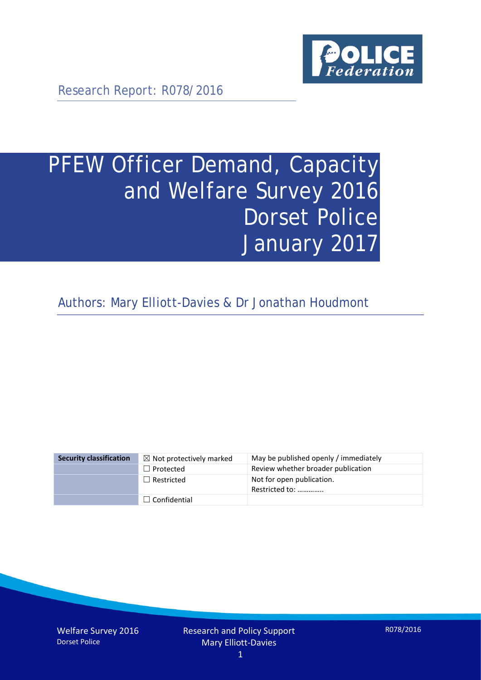

Research Report: R078/2016

# PFEW Officer Demand, Capacity and Welfare Survey 2016 Dorset Police January 2017

Authors: Mary Elliott-Davies & Dr Jonathan Houdmont

| <b>Security classification</b> | $\boxtimes$ Not protectively marked | May be published openly / immediately       |
|--------------------------------|-------------------------------------|---------------------------------------------|
|                                | $\Box$ Protected                    | Review whether broader publication          |
|                                | $\Box$ Restricted                   | Not for open publication.<br>Restricted to: |
|                                | $\Box$ Confidential                 |                                             |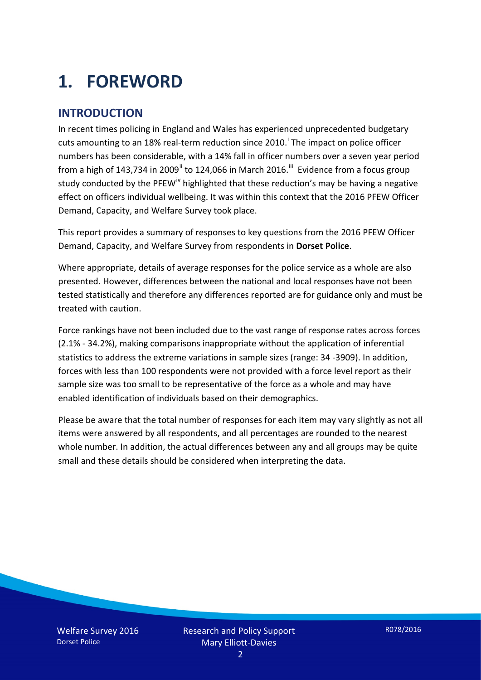# **1. FOREWORD**

### **INTRODUCTION**

In recent times policing in England and Wales has experienced unprecedented budgetary cuts amount[i](#page-15-0)ng to an 18% real-term reduction since 2010.<sup>1</sup> The impact on police officer numbers has been considerable, with a 14% fall in officer numbers over a seven year period from a high of 143,734 in 2009<sup>[ii](#page-15-1)</sup> to 124,066 in March 2016.<sup>[iii](#page-15-2)</sup> Evidence from a focus group study conducted by the PFEW<sup>[iv](#page-15-3)</sup> highlighted that these reduction's may be having a negative effect on officers individual wellbeing. It was within this context that the 2016 PFEW Officer Demand, Capacity, and Welfare Survey took place.

This report provides a summary of responses to key questions from the 2016 PFEW Officer Demand, Capacity, and Welfare Survey from respondents in **Dorset Police**.

Where appropriate, details of average responses for the police service as a whole are also presented. However, differences between the national and local responses have not been tested statistically and therefore any differences reported are for guidance only and must be treated with caution.

Force rankings have not been included due to the vast range of response rates across forces (2.1% - 34.2%), making comparisons inappropriate without the application of inferential statistics to address the extreme variations in sample sizes (range: 34 -3909). In addition, forces with less than 100 respondents were not provided with a force level report as their sample size was too small to be representative of the force as a whole and may have enabled identification of individuals based on their demographics.

Please be aware that the total number of responses for each item may vary slightly as not all items were answered by all respondents, and all percentages are rounded to the nearest whole number. In addition, the actual differences between any and all groups may be quite small and these details should be considered when interpreting the data.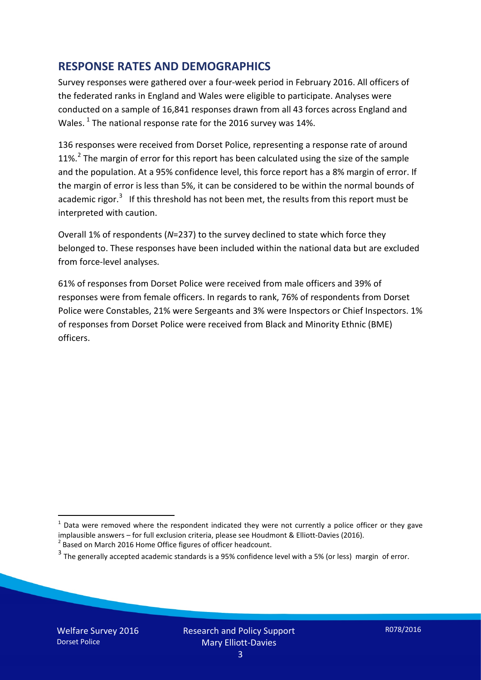### **RESPONSE RATES AND DEMOGRAPHICS**

Survey responses were gathered over a four-week period in February 2016. All officers of the federated ranks in England and Wales were eligible to participate. Analyses were conducted on a sample of 16,841 responses drawn from all 43 forces across England and Wales.  $^1$  $^1$  The national response rate for the 2016 survey was 14%.

136 responses were received from Dorset Police, representing a response rate of around 11%.<sup>[2](#page-2-1)</sup> The margin of error for this report has been calculated using the size of the sample and the population. At a 95% confidence level, this force report has a 8% margin of error. If the margin of error is less than 5%, it can be considered to be within the normal bounds of academic rigor.<sup>[3](#page-2-2)</sup> If this threshold has not been met, the results from this report must be interpreted with caution.

Overall 1% of respondents (*N*=237) to the survey declined to state which force they belonged to. These responses have been included within the national data but are excluded from force-level analyses.

61% of responses from Dorset Police were received from male officers and 39% of responses were from female officers. In regards to rank, 76% of respondents from Dorset Police were Constables, 21% were Sergeants and 3% were Inspectors or Chief Inspectors. 1% of responses from Dorset Police were received from Black and Minority Ethnic (BME) officers.

<u>.</u>

<span id="page-2-0"></span> $1$  Data were removed where the respondent indicated they were not currently a police officer or they gave implausible answers – for full exclusion criteria, please see Houdmont & Elliott-Davies (2016).<br><sup>2</sup> Based on March 2016 Home Office figures of officer headcount.

<span id="page-2-1"></span>

<span id="page-2-2"></span> $3$  The generally accepted academic standards is a 95% confidence level with a 5% (or less) margin of error.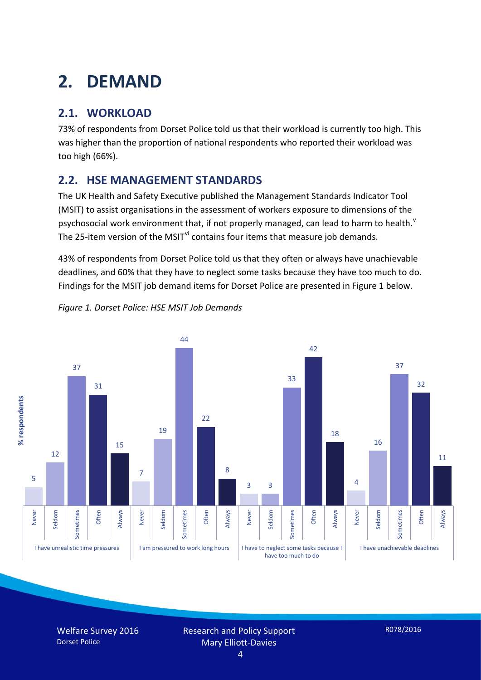## **2. DEMAND**

## **2.1. WORKLOAD**

73% of respondents from Dorset Police told us that their workload is currently too high. This was higher than the proportion of national respondents who reported their workload was too high (66%).

### **2.2. HSE MANAGEMENT STANDARDS**

The UK Health and Safety Executive published the Management Standards Indicator Tool (MSIT) to assist organisations in the assessment of workers exposure to dimensions of the psychosocial work en[v](#page-15-4)ironment that, if not properly managed, can lead to harm to health.<sup>v</sup> The 25-item version of the MSIT<sup>[vi](#page-15-5)</sup> contains four items that measure job demands.

43% of respondents from Dorset Police told us that they often or always have unachievable deadlines, and 60% that they have to neglect some tasks because they have too much to do. Findings for the MSIT job demand items for Dorset Police are presented in Figure 1 below.



*Figure 1. Dorset Police: HSE MSIT Job Demands*

Welfare Survey 2016 Dorset Police

Research and Policy Support Mary Elliott-Davies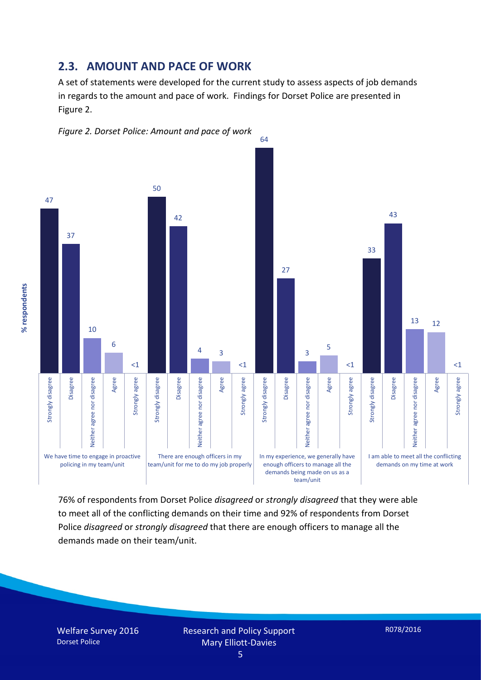#### **2.3. AMOUNT AND PACE OF WORK**

A set of statements were developed for the current study to assess aspects of job demands in regards to the amount and pace of work. Findings for Dorset Police are presented in Figure 2.





76% of respondents from Dorset Police *disagreed* or *strongly disagreed* that they were able to meet all of the conflicting demands on their time and 92% of respondents from Dorset Police *disagreed* or *strongly disagreed* that there are enough officers to manage all the demands made on their team/unit.

Welfare Survey 2016 Dorset Police

% respondents **% respondents**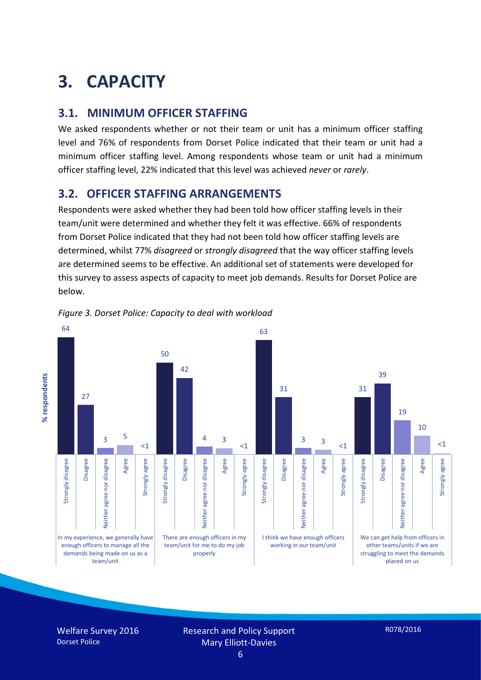## **3. CAPACITY**

### **3.1. MINIMUM OFFICER STAFFING**

We asked respondents whether or not their team or unit has a minimum officer staffing level and 76% of respondents from Dorset Police indicated that their team or unit had a minimum officer staffing level. Among respondents whose team or unit had a minimum officer staffing level, 22% indicated that this level was achieved *never* or *rarely*.

### **3.2. OFFICER STAFFING ARRANGEMENTS**

Respondents were asked whether they had been told how officer staffing levels in their team/unit were determined and whether they felt it was effective. 66% of respondents from Dorset Police indicated that they had not been told how officer staffing levels are determined, whilst 77% *disagreed* or *strongly disagreed* that the way officer staffing levels are determined seems to be effective. An additional set of statements were developed for this survey to assess aspects of capacity to meet job demands. Results for Dorset Police are below.



*Figure 3. Dorset Police: Capacity to deal with workload*

Welfare Survey 2016 Dorset Police

Research and Policy Support Mary Elliott-Davies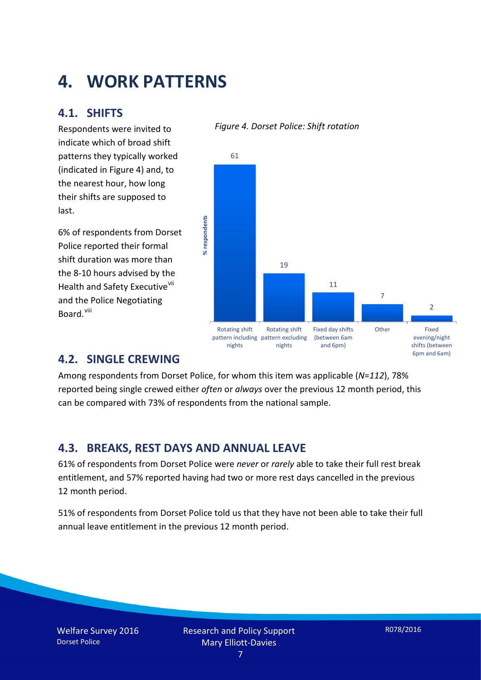## **4. WORK PATTERNS**

### **4.1. SHIFTS**

Respondents were invited to indicate which of broad shift patterns they typically worked (indicated in Figure 4) and, to the nearest hour, how long their shifts are supposed to last.

6% of respondents from Dorset Police reported their formal shift duration was more than the 8-10 hours advised by the Health and Safety Executive<sup>[vii](#page-15-6)</sup> and the Police Negotiating Board.<sup>[viii](#page-15-7)</sup>

#### *Figure 4. Dorset Police: Shift rotation*



### **4.2. SINGLE CREWING**

Among respondents from Dorset Police, for whom this item was applicable (*N*=*112*), 78% reported being single crewed either *often* or *always* over the previous 12 month period, this can be compared with 73% of respondents from the national sample.

### **4.3. BREAKS, REST DAYS AND ANNUAL LEAVE**

61% of respondents from Dorset Police were *never* or *rarely* able to take their full rest break entitlement, and 57% reported having had two or more rest days cancelled in the previous 12 month period.

51% of respondents from Dorset Police told us that they have not been able to take their full annual leave entitlement in the previous 12 month period.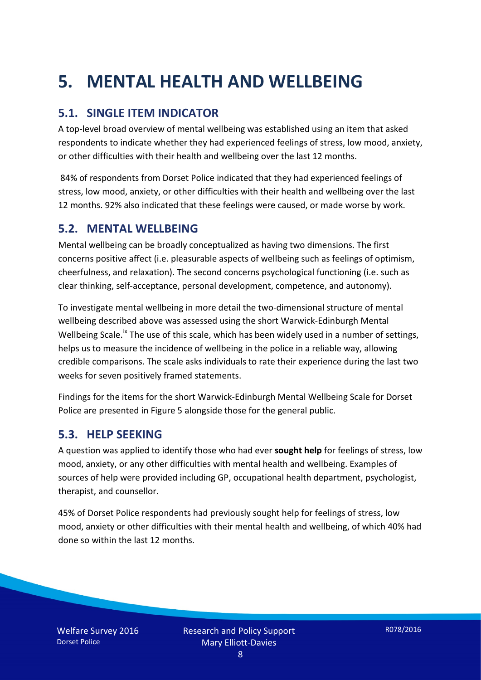## **5. MENTAL HEALTH AND WELLBEING**

## **5.1. SINGLE ITEM INDICATOR**

A top-level broad overview of mental wellbeing was established using an item that asked respondents to indicate whether they had experienced feelings of stress, low mood, anxiety, or other difficulties with their health and wellbeing over the last 12 months.

84% of respondents from Dorset Police indicated that they had experienced feelings of stress, low mood, anxiety, or other difficulties with their health and wellbeing over the last 12 months. 92% also indicated that these feelings were caused, or made worse by work.

#### **5.2. MENTAL WELLBEING**

Mental wellbeing can be broadly conceptualized as having two dimensions. The first concerns positive affect (i.e. pleasurable aspects of wellbeing such as feelings of optimism, cheerfulness, and relaxation). The second concerns psychological functioning (i.e. such as clear thinking, self-acceptance, personal development, competence, and autonomy).

To investigate mental wellbeing in more detail the two-dimensional structure of mental wellbeing described above was assessed using the short Warwick-Edinburgh Mental Wellbeing Scale.<sup>[ix](#page-15-8)</sup> The use of this scale, which has been widely used in a number of settings, helps us to measure the incidence of wellbeing in the police in a reliable way, allowing credible comparisons. The scale asks individuals to rate their experience during the last two weeks for seven positively framed statements.

Findings for the items for the short Warwick-Edinburgh Mental Wellbeing Scale for Dorset Police are presented in Figure 5 alongside those for the general public.

#### **5.3. HELP SEEKING**

A question was applied to identify those who had ever **sought help** for feelings of stress, low mood, anxiety, or any other difficulties with mental health and wellbeing. Examples of sources of help were provided including GP, occupational health department, psychologist, therapist, and counsellor.

45% of Dorset Police respondents had previously sought help for feelings of stress, low mood, anxiety or other difficulties with their mental health and wellbeing, of which 40% had done so within the last 12 months.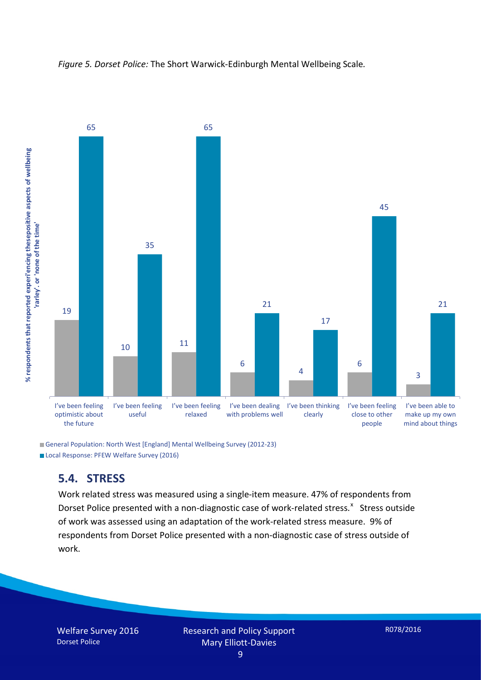



General Population: North West [England] Mental Wellbeing Survey (2012-23) Local Response: PFEW Welfare Survey (2016)

#### **5.4. STRESS**

Work related stress was measured using a single-item measure. 47% of respondents from Dorset Police presented with a non-diagnostic case of work-related stress.<sup>[x](#page-15-9)</sup> Stress outside of work was assessed using an adaptation of the work-related stress measure. 9% of respondents from Dorset Police presented with a non-diagnostic case of stress outside of work.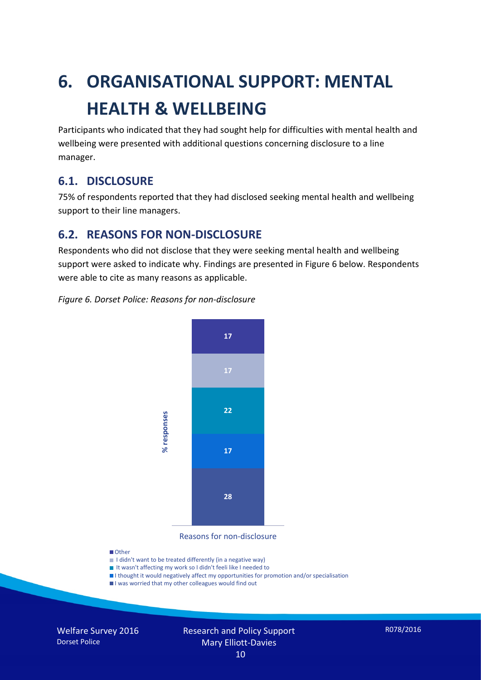# **6. ORGANISATIONAL SUPPORT: MENTAL HEALTH & WELLBEING**

Participants who indicated that they had sought help for difficulties with mental health and wellbeing were presented with additional questions concerning disclosure to a line manager.

### **6.1. DISCLOSURE**

75% of respondents reported that they had disclosed seeking mental health and wellbeing support to their line managers.

### **6.2. REASONS FOR NON-DISCLOSURE**

Respondents who did not disclose that they were seeking mental health and wellbeing support were asked to indicate why. Findings are presented in Figure 6 below. Respondents were able to cite as many reasons as applicable.

#### *Figure 6. Dorset Police: Reasons for non-disclosure*



Reasons for non-disclosure

#### **D**Other

- I didn't want to be treated differently (in a negative way)
- I It wasn't affecting my work so I didn't feeli like I needed to
- I thought it would negatively affect my opportunities for promotion and/or specialisation
- I was worried that my other colleagues would find out

Welfare Survey 2016 Dorset Police

#### Research and Policy Support Mary Elliott-Davies 10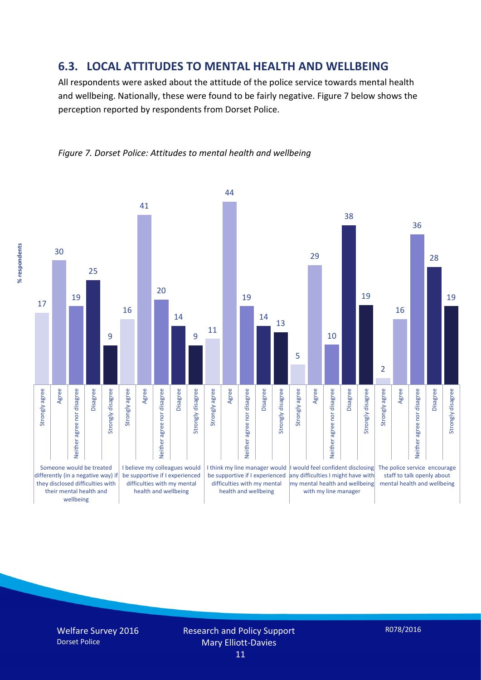#### **6.3. LOCAL ATTITUDES TO MENTAL HEALTH AND WELLBEING**

All respondents were asked about the attitude of the police service towards mental health and wellbeing. Nationally, these were found to be fairly negative. Figure 7 below shows the perception reported by respondents from Dorset Police.



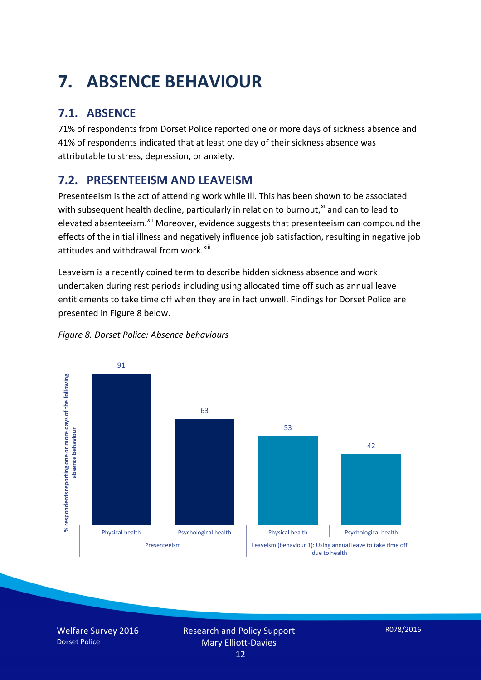# **7. ABSENCE BEHAVIOUR**

## **7.1. ABSENCE**

71% of respondents from Dorset Police reported one or more days of sickness absence and 41% of respondents indicated that at least one day of their sickness absence was attributable to stress, depression, or anxiety.

## **7.2. PRESENTEEISM AND LEAVEISM**

Presenteeism is the act of attending work while ill. This has been shown to be associated with subsequent health decline, particularly in relation to burnout, $x_i$  and can to lead to elevated absenteeism.<sup>[xii](#page-16-1)</sup> Moreover, evidence suggests that presenteeism can compound the effects of the initial illness and negatively influence job satisfaction, resulting in negative job attitudes and withdrawal from work.<sup>[xiii](#page-16-2)</sup>

Leaveism is a recently coined term to describe hidden sickness absence and work undertaken during rest periods including using allocated time off such as annual leave entitlements to take time off when they are in fact unwell. Findings for Dorset Police are presented in Figure 8 below.



#### *Figure 8. Dorset Police: Absence behaviours*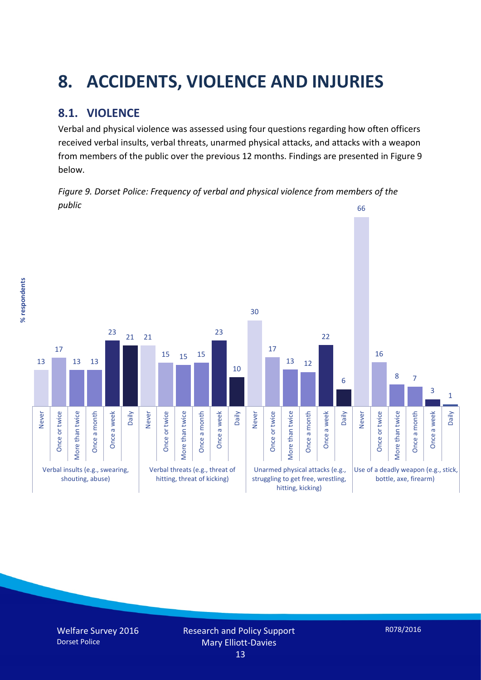## **8. ACCIDENTS, VIOLENCE AND INJURIES**

## **8.1. VIOLENCE**

% respondents **% respondents**

Verbal and physical violence was assessed using four questions regarding how often officers received verbal insults, verbal threats, unarmed physical attacks, and attacks with a weapon from members of the public over the previous 12 months. Findings are presented in Figure 9 below.

*Figure 9. Dorset Police: Frequency of verbal and physical violence from members of the public*

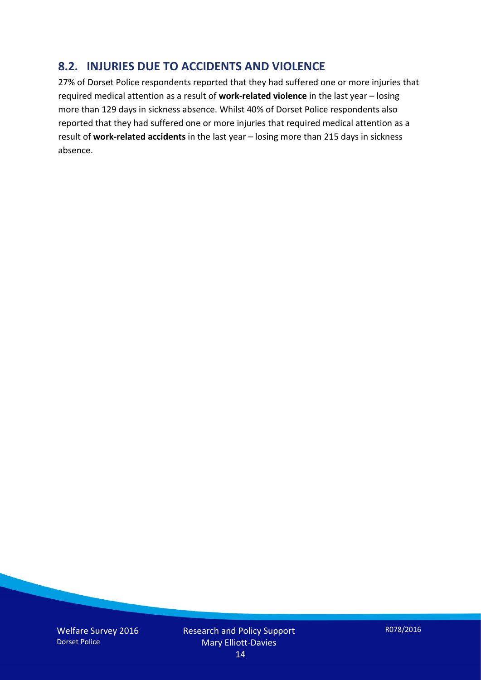### **8.2. INJURIES DUE TO ACCIDENTS AND VIOLENCE**

27% of Dorset Police respondents reported that they had suffered one or more injuries that required medical attention as a result of **work-related violence** in the last year – losing more than 129 days in sickness absence. Whilst 40% of Dorset Police respondents also reported that they had suffered one or more injuries that required medical attention as a result of **work-related accidents** in the last year – losing more than 215 days in sickness absence.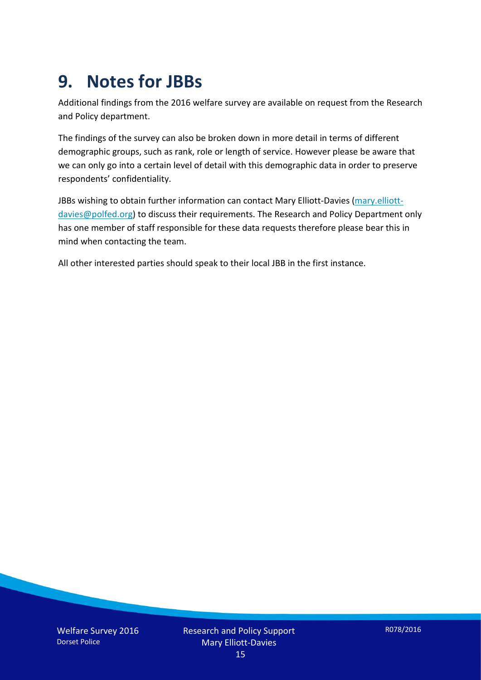## **9. Notes for JBBs**

Additional findings from the 2016 welfare survey are available on request from the Research and Policy department.

The findings of the survey can also be broken down in more detail in terms of different demographic groups, such as rank, role or length of service. However please be aware that we can only go into a certain level of detail with this demographic data in order to preserve respondents' confidentiality.

JBBs wishing to obtain further information can contact Mary Elliott-Davies [\(mary.elliott](mailto:mary.elliott-davies@polfed.org)[davies@polfed.org\)](mailto:mary.elliott-davies@polfed.org) to discuss their requirements. The Research and Policy Department only has one member of staff responsible for these data requests therefore please bear this in mind when contacting the team.

All other interested parties should speak to their local JBB in the first instance.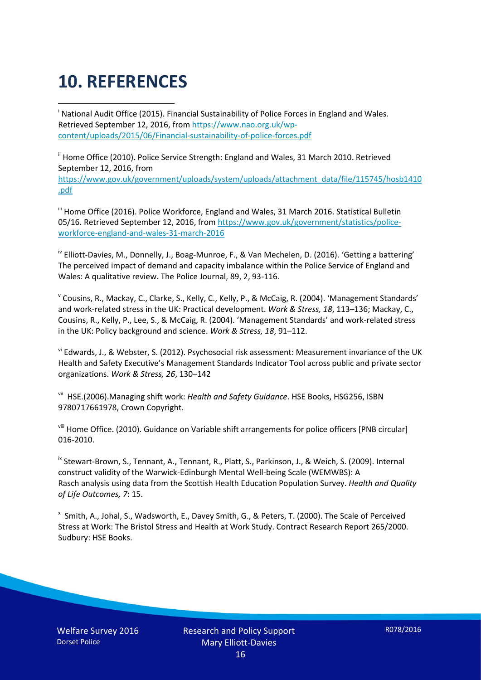# **10. REFERENCES**

<span id="page-15-0"></span>i National Audit Office (2015). Financial Sustainability of Police Forces in England and Wales. Retrieved September 12, 2016, fro[m https://www.nao.org.uk/wp](https://www.nao.org.uk/wp-content/uploads/2015/06/Financial-sustainability-of-police-forces.pdf)[content/uploads/2015/06/Financial-sustainability-of-police-forces.pdf](https://www.nao.org.uk/wp-content/uploads/2015/06/Financial-sustainability-of-police-forces.pdf)

<span id="page-15-1"></span><sup>ii</sup> Home Office (2010). Police Service Strength: England and Wales, 31 March 2010. Retrieved September 12, 2016, from [https://www.gov.uk/government/uploads/system/uploads/attachment\\_data/file/115745/hosb1410](https://www.gov.uk/government/uploads/system/uploads/attachment_data/file/115745/hosb1410.pdf) [.pdf](https://www.gov.uk/government/uploads/system/uploads/attachment_data/file/115745/hosb1410.pdf)

<span id="page-15-2"></span><sup>iii</sup> Home Office (2016). Police Workforce, England and Wales, 31 March 2016. Statistical Bulletin 05/16. Retrieved September 12, 2016, fro[m https://www.gov.uk/government/statistics/police](https://www.gov.uk/government/statistics/police-workforce-england-and-wales-31-march-2016)[workforce-england-and-wales-31-march-2016](https://www.gov.uk/government/statistics/police-workforce-england-and-wales-31-march-2016)

<span id="page-15-3"></span><sup>iv</sup> Elliott-Davies, M., Donnelly, J., Boag-Munroe, F., & Van Mechelen, D. (2016). 'Getting a battering' The perceived impact of demand and capacity imbalance within the Police Service of England and Wales: A qualitative review. The Police Journal, 89, 2, 93-116.

<span id="page-15-4"></span><sup>v</sup> Cousins, R., Mackay, C., Clarke, S., Kelly, C., Kelly, P., & McCaig, R. (2004). 'Management Standards' and work-related stress in the UK: Practical development. *Work & Stress, 18*, 113–136; Mackay, C., Cousins, R., Kelly, P., Lee, S., & McCaig, R. (2004). 'Management Standards' and work-related stress in the UK: Policy background and science. *Work & Stress, 18*, 91–112.

<span id="page-15-5"></span>vi Edwards, J., & Webster, S. (2012). Psychosocial risk assessment: Measurement invariance of the UK Health and Safety Executive's Management Standards Indicator Tool across public and private sector organizations. *Work & Stress, 26*, 130–142

<span id="page-15-6"></span>vii HSE.(2006).Managing shift work: *Health and Safety Guidance*. HSE Books, HSG256, ISBN 9780717661978, Crown Copyright.

<span id="page-15-7"></span>viii Home Office. (2010). Guidance on Variable shift arrangements for police officers [PNB circular] 016-2010.

<span id="page-15-8"></span><sup>ix</sup> Stewart-Brown, S., Tennant, A., Tennant, R., Platt, S., Parkinson, J., & Weich, S. (2009). Internal construct validity of the Warwick-Edinburgh Mental Well-being Scale (WEMWBS): A Rasch analysis using data from the Scottish Health Education Population Survey. *Health and Quality of Life Outcomes, 7*: 15.

<span id="page-15-9"></span>x Smith, A., Johal, S., Wadsworth, E., Davey Smith, G., & Peters, T. (2000). The Scale of Perceived Stress at Work: The Bristol Stress and Health at Work Study. Contract Research Report 265/2000. Sudbury: HSE Books.